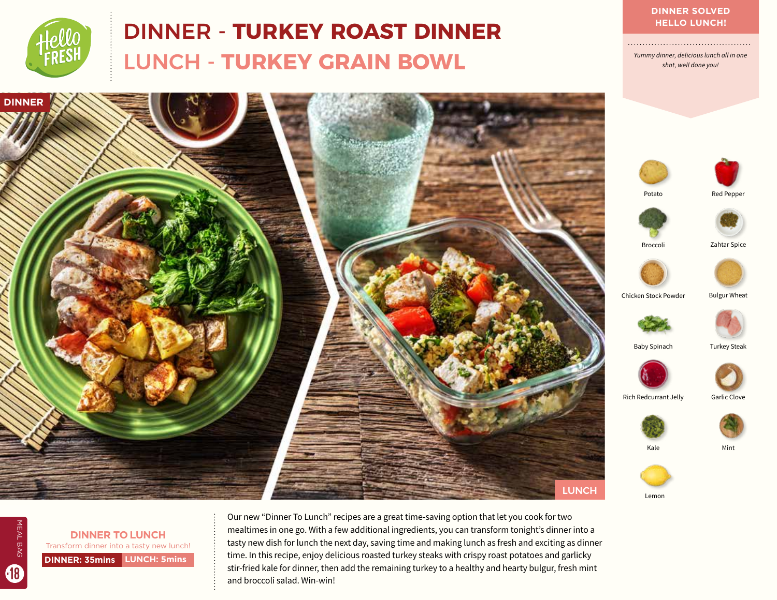

# DINNER - **TURKEY ROAST DINNER** LUNCH - **TURKEY GRAIN BOWL**

*Yummy dinner, delicious lunch all in one shot, well done you!* 



**DINNER: 35mins LUNCH: 5mins DINNER TO LUNCH** Transform dinner into a tasty new lunch!

MEAL BAG

MEAL BAG

18

Our new "Dinner To Lunch" recipes are a great time-saving option that let you cook for two mealtimes in one go. With a few additional ingredients, you can transform tonight's dinner into a tasty new dish for lunch the next day, saving time and making lunch as fresh and exciting as dinner time. In this recipe, enjoy delicious roasted turkey steaks with crispy roast potatoes and garlicky stir-fried kale for dinner, then add the remaining turkey to a healthy and hearty bulgur, fresh mint and broccoli salad. Win-win!